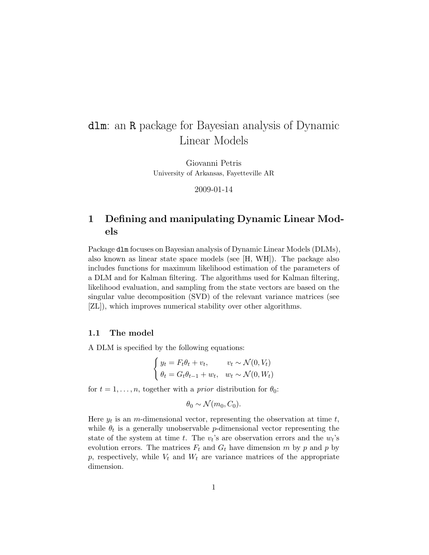# dlm: an R package for Bayesian analysis of Dynamic Linear Models

Giovanni Petris University of Arkansas, Fayetteville AR

2009-01-14

# 1 Defining and manipulating Dynamic Linear Models

Package dlm focuses on Bayesian analysis of Dynamic Linear Models (DLMs), also known as linear state space models (see [H, WH]). The package also includes functions for maximum likelihood estimation of the parameters of a DLM and for Kalman filtering. The algorithms used for Kalman filtering, likelihood evaluation, and sampling from the state vectors are based on the singular value decomposition (SVD) of the relevant variance matrices (see [ZL]), which improves numerical stability over other algorithms.

### 1.1 The model

A DLM is specified by the following equations:

$$
\begin{cases} y_t = F_t \theta_t + v_t, & v_t \sim \mathcal{N}(0, V_t) \\ \theta_t = G_t \theta_{t-1} + w_t, & w_t \sim \mathcal{N}(0, W_t) \end{cases}
$$

for  $t = 1, \ldots, n$ , together with a *prior* distribution for  $\theta_0$ :

$$
\theta_0 \sim \mathcal{N}(m_0, C_0).
$$

Here  $y_t$  is an *m*-dimensional vector, representing the observation at time  $t$ , while  $\theta_t$  is a generally unobservable *p*-dimensional vector representing the state of the system at time t. The  $v_t$ 's are observation errors and the  $w_t$ 's evolution errors. The matrices  $F_t$  and  $G_t$  have dimension m by p and p by p, respectively, while  $V_t$  and  $W_t$  are variance matrices of the appropriate dimension.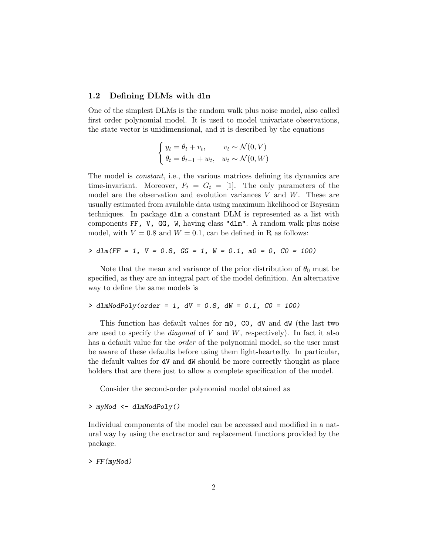## 1.2 Defining DLMs with dlm

One of the simplest DLMs is the random walk plus noise model, also called first order polynomial model. It is used to model univariate observations, the state vector is unidimensional, and it is described by the equations

$$
\begin{cases} y_t = \theta_t + v_t, & v_t \sim \mathcal{N}(0, V) \\ \theta_t = \theta_{t-1} + w_t, & w_t \sim \mathcal{N}(0, W) \end{cases}
$$

The model is *constant*, i.e., the various matrices defining its dynamics are time-invariant. Moreover,  $F_t = G_t = [1]$ . The only parameters of the model are the observation and evolution variances  $V$  and  $W$ . These are usually estimated from available data using maximum likelihood or Bayesian techniques. In package dlm a constant DLM is represented as a list with components FF, V, GG, W, having class "dlm". A random walk plus noise model, with  $V = 0.8$  and  $W = 0.1$ , can be defined in R as follows:

$$
> \dim(FF = 1, V = 0.8, GG = 1, W = 0.1, m0 = 0, CO = 100)
$$

Note that the mean and variance of the prior distribution of  $\theta_0$  must be specified, as they are an integral part of the model definition. An alternative way to define the same models is

### $>$  dlmModPoly(order = 1, dV = 0.8, dW = 0.1, CO = 100)

This function has default values for mo, CO, dV and dW (the last two are used to specify the *diagonal* of  $V$  and  $W$ , respectively). In fact it also has a default value for the *order* of the polynomial model, so the user must be aware of these defaults before using them light-heartedly. In particular, the default values for dV and dW should be more correctly thought as place holders that are there just to allow a complete specification of the model.

Consider the second-order polynomial model obtained as

#### > myMod <- dlmModPoly()

Individual components of the model can be accessed and modified in a natural way by using the exctractor and replacement functions provided by the package.

#### > FF(myMod)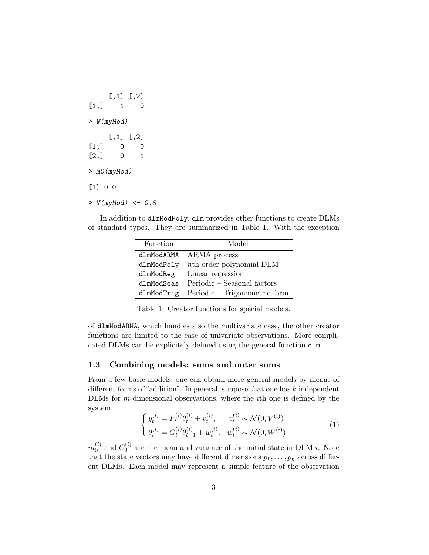```
[,1] [,2][1,] 1 0> W(myMod)
    [,1] [,2][1,] 0 0[2,] 0 1> m0(myMod)
[1] 0 0
> V(myMod) < -0.8
```
In addition to dlmModPoly, dlm provides other functions to create DLMs of standard types. They are summarized in Table 1. With the exception

| Function   | Model                           |
|------------|---------------------------------|
| dlmModARMA | ARMA process                    |
| dlmModPoly | <i>nth</i> order polynomial DLM |
| dlmModReg  | Linear regression               |
| dlmModSeas | Periodic - Seasonal factors     |
| dlmModTrig | Periodic – Trigonometric form   |

Table 1: Creator functions for special models.

of dlmModARMA, which handles also the multivariate case, the other creator functions are limited to the case of univariate observations. More complicated DLMs can be explicitely defined using the general function dlm.

# 1.3 Combining models: sums and outer sums

From a few basic models, one can obtain more general models by means of different forms of "addition". In general, suppose that one has k independent DLMs for m-dimensional observations, where the ith one is defined by the system

$$
\begin{cases}\ny_t^{(i)} = F_t^{(i)} \theta_t^{(i)} + v_t^{(i)}, & v_t^{(i)} \sim \mathcal{N}(0, V^{(i)}) \\
\theta_t^{(i)} = G_t^{(i)} \theta_{t-1}^{(i)} + w_t^{(i)}, & w_t^{(i)} \sim \mathcal{N}(0, W^{(i)})\n\end{cases} \tag{1}
$$

 $m_0^{(i)}$  $_0^{(i)}$  and  $C_0^{(i)}$  $\int_0^{(i)}$  are the mean and variance of the initial state in DLM *i*. Note that the state vectors may have different dimensions  $p_1, \ldots, p_k$  across different DLMs. Each model may represent a simple feature of the observation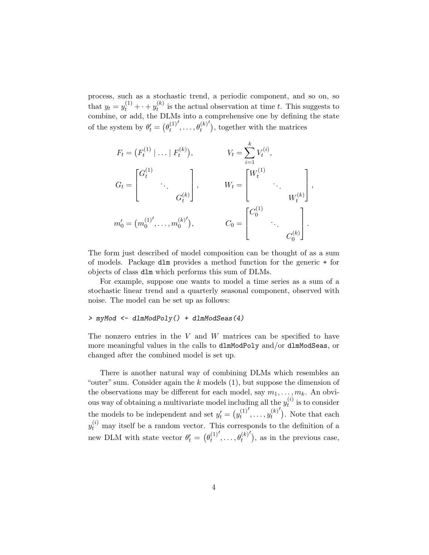process, such as a stochastic trend, a periodic component, and so on, so that  $y_t = y_t^{(1)} + \cdots + y_t^{(k)}$  $t_t^{(k)}$  is the actual observation at time t. This suggests to combine, or add, the DLMs into a comprehensive one by defining the state of the system by  $\theta'_t = (\theta_t^{(1)})$ t  $(\cdot, \ldots, \theta_t^{(k)'})$ , together with the matrices

$$
F_t = (F_t^{(1)} | \dots | F_t^{(k)}), \t V_t = \sum_{i=1}^k V_t^{(i)},
$$
  
\n
$$
G_t = \begin{bmatrix} G_t^{(1)} & & \\ & \ddots & \\ & & G_t^{(k)} \end{bmatrix}, \t W_t = \begin{bmatrix} W_t^{(1)} & & \\ & \ddots & \\ & & W_t^{(k)} \end{bmatrix},
$$
  
\n
$$
m'_0 = (m_0^{(1)}, \dots, m_0^{(k)}), \t C_0 = \begin{bmatrix} C_0^{(1)} & & \\ & \ddots & \\ & & C_0^{(k)} \end{bmatrix}.
$$

The form just described of model composition can be thought of as a sum of models. Package dlm provides a method function for the generic + for objects of class dlm which performs this sum of DLMs.

For example, suppose one wants to model a time series as a sum of a stochastic linear trend and a quarterly seasonal component, observed with noise. The model can be set up as follows:

#### > myMod <- dlmModPoly() + dlmModSeas(4)

The nonzero entries in the  $V$  and  $W$  matrices can be specified to have more meaningful values in the calls to dlmModPoly and/or dlmModSeas, or changed after the combined model is set up.

There is another natural way of combining DLMs which resembles an "outer" sum. Consider again the  $k$  models  $(1)$ , but suppose the dimension of the observations may be different for each model, say  $m_1, \ldots, m_k$ . An obvious way of obtaining a multivariate model including all the  $y_t^{(i)}$  $t^{(i)}$  is to consider the models to be independent and set  $y'_t = (y_t^{(1)})$ t  $\langle , \ldots, y_t^{(k)} \rangle$  $\binom{(k)'}{t}$ . Note that each  $y_t^{(i)}$  may itself be a random vector. This corresponds to the definition of a new DLM with state vector  $\theta'_t = (\theta_t^{(1)})$ t  $(\rho_t^{(k)})$ , as in the previous case,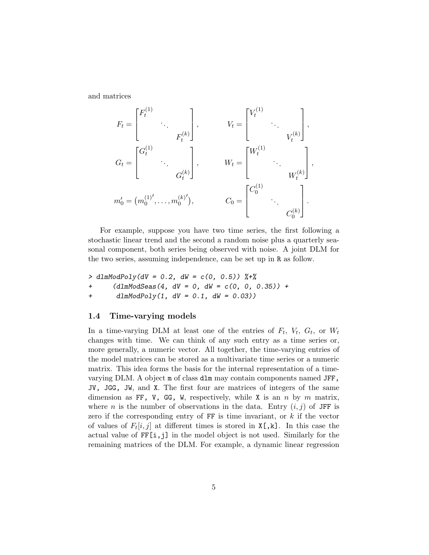and matrices

$$
F_{t} = \begin{bmatrix} F_{t}^{(1)} & & \\ & \ddots & \\ & & F_{t}^{(k)} \end{bmatrix}, \qquad V_{t} = \begin{bmatrix} V_{t}^{(1)} & & \\ & \ddots & \\ & & V_{t}^{(k)} \end{bmatrix},
$$

$$
G_{t} = \begin{bmatrix} G_{t}^{(1)} & & \\ & \ddots & \\ & & G_{t}^{(k)} \end{bmatrix}, \qquad W_{t} = \begin{bmatrix} W_{t}^{(1)} & & \\ & \ddots & \\ & & W_{t}^{(k)} \end{bmatrix},
$$

$$
m_{0}' = (m_{0}^{(1)'}, \dots, m_{0}^{(k)'}), \qquad C_{0} = \begin{bmatrix} C_{0}^{(1)} & & \\ & \ddots & \\ & & C_{0}^{(k)} \end{bmatrix}.
$$

For example, suppose you have two time series, the first following a stochastic linear trend and the second a random noise plus a quarterly seasonal component, both series being observed with noise. A joint DLM for the two series, assuming independence, can be set up in R as follow.

 $> \text{dlmModPoly}(dV = 0.2, dW = c(0, 0.5))$  %+% +  $(dlmModSeas(4, dV = 0, dW = c(0, 0, 0.35)) +$ + dlmModPoly(1, dV = 0.1, dW = 0.03))

# 1.4 Time-varying models

In a time-varying DLM at least one of the entries of  $F_t$ ,  $V_t$ ,  $G_t$ , or  $W_t$ changes with time. We can think of any such entry as a time series or, more generally, a numeric vector. All together, the time-varying entries of the model matrices can be stored as a multivariate time series or a numeric matrix. This idea forms the basis for the internal representation of a timevarying DLM. A object m of class dlm may contain components named JFF, JV, JGG, JW, and X. The first four are matrices of integers of the same dimension as FF, V, GG, W, respectively, while X is an n by m matrix, where n is the number of observations in the data. Entry  $(i, j)$  of JFF is zero if the corresponding entry of  $FF$  is time invariant, or  $k$  if the vector of values of  $F_t[i, j]$  at different times is stored in  $X[, k]$ . In this case the actual value of FF[i,j] in the model object is not used. Similarly for the remaining matrices of the DLM. For example, a dynamic linear regression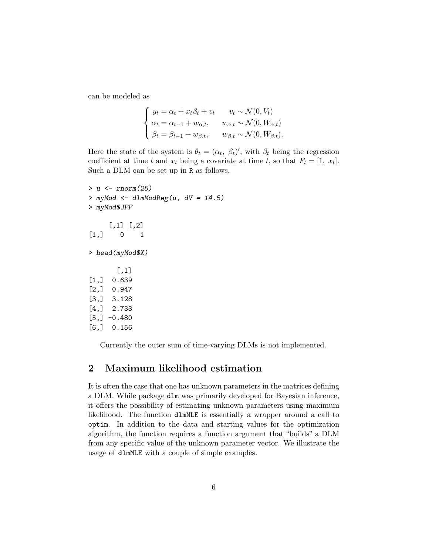can be modeled as

$$
\begin{cases} y_t = \alpha_t + x_t \beta_t + v_t & v_t \sim \mathcal{N}(0, V_t) \\ \alpha_t = \alpha_{t-1} + w_{\alpha, t}, & w_{\alpha, t} \sim \mathcal{N}(0, W_{\alpha, t}) \\ \beta_t = \beta_{t-1} + w_{\beta, t}, & w_{\beta, t} \sim \mathcal{N}(0, W_{\beta, t}). \end{cases}
$$

Here the state of the system is  $\theta_t = (\alpha_t, \beta_t)'$ , with  $\beta_t$  being the regression coefficient at time t and  $x_t$  being a covariate at time t, so that  $F_t = [1, x_t]$ . Such a DLM can be set up in R as follows,

```
> u <- rnorm(25)
> myMod <- dlmModReg(u, dV = 14.5)
> myMod$JFF
     [,1] [,2][1,] 0 1> head(myMod$X)
       [,1]
[1,] 0.639
[2,] 0.947
[3,] 3.128
[4,] 2.733
[5,] -0.480[6,] 0.156
```
Currently the outer sum of time-varying DLMs is not implemented.

# 2 Maximum likelihood estimation

It is often the case that one has unknown parameters in the matrices defining a DLM. While package dlm was primarily developed for Bayesian inference, it offers the possibility of estimating unknown parameters using maximum likelihood. The function dlmMLE is essentially a wrapper around a call to optim. In addition to the data and starting values for the optimization algorithm, the function requires a function argument that "builds" a DLM from any specific value of the unknown parameter vector. We illustrate the usage of dlmMLE with a couple of simple examples.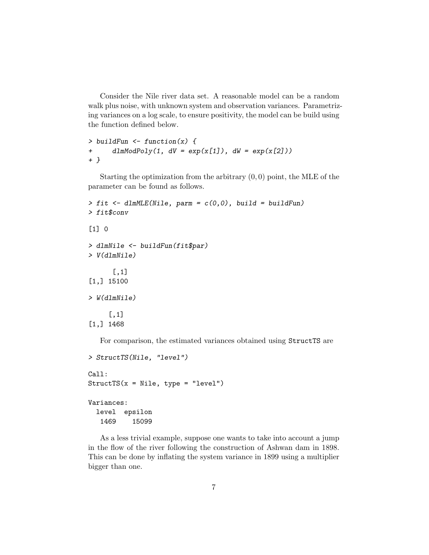Consider the Nile river data set. A reasonable model can be a random walk plus noise, with unknown system and observation variances. Parametrizing variances on a log scale, to ensure positivity, the model can be build using the function defined below.

```
> buildFun \leq function(x) {
+ dlmModPoly(1, dV = exp(x[1]), dW = exp(x[2]))+ }
```
Starting the optimization from the arbitrary  $(0, 0)$  point, the MLE of the parameter can be found as follows.

```
> fit < -dlmMLE(Nile, parm = c(0,0), build = buildFun)> fit$conv
[1] 0
> dlmNile <- buildFun(fit$par)
> V(dlmNile)
      [,1]
[1,] 15100
> W(dlmNile)
     [,1]
[1,] 1468
```
For comparison, the estimated variances obtained using StructTS are

```
> StructTS(Nile, "level")
Call:
StructTS(x = Nile, type = "level")Variances:
  level epsilon
   1469 15099
```
As a less trivial example, suppose one wants to take into account a jump in the flow of the river following the construction of Ashwan dam in 1898. This can be done by inflating the system variance in 1899 using a multiplier bigger than one.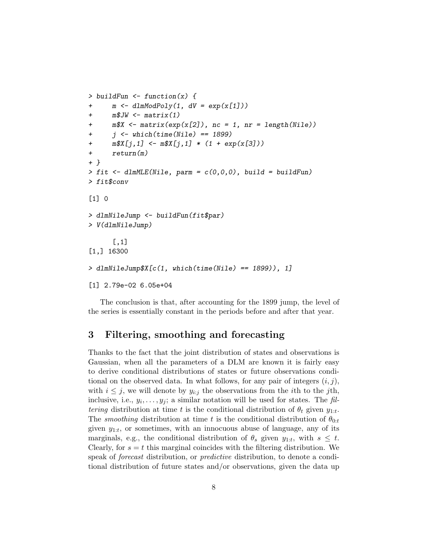```
> buildFun <- function(x) {
+ m \leq -d \text{ImModPoly}(1, dV = exp(x[1]))+ m$JW \leftarrow matrix(1)+ m$X <- matrix(exp(x[2]), nc = 1, nr = length(Nile))
+ j \leftarrow \text{which}(\text{time}(\text{Nile}) == 1899)+ m$X[j,1] < -m$X[j,1] * (1 + exp(x[3]))+ return(m)
+ }
> fit < -dlmMLE(Nile, param = c(0,0,0), build = buildFun)> fit$conv
[1] 0
> dlmNileJump <- buildFun(fit$par)
> V(dlmNileJump)
      [,1]
[1,] 16300
> dlmNileJump$X[c(1, which(time(Nile) == 1899)), 1]
[1] 2.79e-02 6.05e+04
```
The conclusion is that, after accounting for the 1899 jump, the level of the series is essentially constant in the periods before and after that year.

# 3 Filtering, smoothing and forecasting

Thanks to the fact that the joint distribution of states and observations is Gaussian, when all the parameters of a DLM are known it is fairly easy to derive conditional distributions of states or future observations conditional on the observed data. In what follows, for any pair of integers  $(i, j)$ , with  $i \leq j$ , we will denote by  $y_{i:j}$  the observations from the *i*th to the *j*th, inclusive, i.e.,  $y_i, \ldots, y_j$ ; a similar notation will be used for states. The fil*tering* distribution at time t is the conditional distribution of  $\theta_t$  given  $y_{1:t}$ . The *smoothing* distribution at time t is the conditional distribution of  $\theta_{0:t}$ given  $y_{1:t}$ , or sometimes, with an innocuous abuse of language, any of its marginals, e.g., the conditional distribution of  $\theta_s$  given  $y_{1:t}$ , with  $s \leq t$ . Clearly, for  $s = t$  this marginal coincides with the filtering distribution. We speak of forecast distribution, or predictive distribution, to denote a conditional distribution of future states and/or observations, given the data up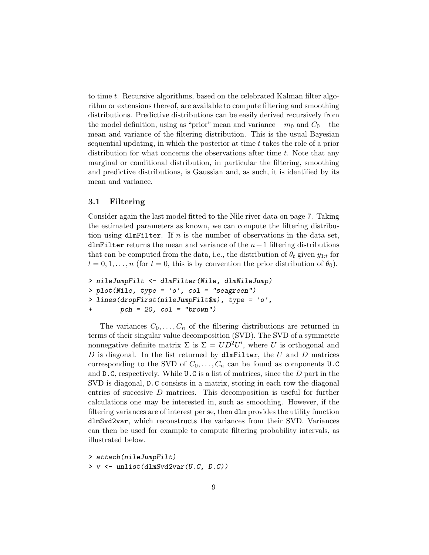to time t. Recursive algorithms, based on the celebrated Kalman filter algorithm or extensions thereof, are available to compute filtering and smoothing distributions. Predictive distributions can be easily derived recursively from the model definition, using as "prior" mean and variance –  $m_0$  and  $C_0$  – the mean and variance of the filtering distribution. This is the usual Bayesian sequential updating, in which the posterior at time t takes the role of a prior distribution for what concerns the observations after time  $t$ . Note that any marginal or conditional distribution, in particular the filtering, smoothing and predictive distributions, is Gaussian and, as such, it is identified by its mean and variance.

# 3.1 Filtering

Consider again the last model fitted to the Nile river data on page 7. Taking the estimated parameters as known, we can compute the filtering distribution using dlmFilter. If n is the number of observations in the data set, dlmFilter returns the mean and variance of the  $n+1$  filtering distributions that can be computed from the data, i.e., the distribution of  $\theta_t$  given  $y_{1:t}$  for  $t = 0, 1, \ldots, n$  (for  $t = 0$ , this is by convention the prior distribution of  $\theta_0$ ).

```
> nileJumpFilt <- dlmFilter(Nile, dlmNileJump)
> plot(Nile, type = 'o', col = "seagreen")
> lines(dropFirst(nileJumpFilt$m), type = 'o',
+ pch = 20, col = "brown")
```
The variances  $C_0, \ldots, C_n$  of the filtering distributions are returned in terms of their singular value decomposition (SVD). The SVD of a symmetric nonnegative definite matrix  $\Sigma$  is  $\Sigma = UD^2U'$ , where U is orthogonal and  $D$  is diagonal. In the list returned by dlmFilter, the  $U$  and  $D$  matrices corresponding to the SVD of  $C_0, \ldots, C_n$  can be found as components U.C and  $D.C$ , respectively. While  $U.C$  is a list of matrices, since the  $D$  part in the SVD is diagonal, D.C consists in a matrix, storing in each row the diagonal entries of succesive D matrices. This decomposition is useful for further calculations one may be interested in, such as smoothing. However, if the filtering variances are of interest per se, then dlm provides the utility function dlmSvd2var, which reconstructs the variances from their SVD. Variances can then be used for example to compute filtering probability intervals, as illustrated below.

> attach(nileJumpFilt) > v <- unlist(dlmSvd2var(U.C, D.C))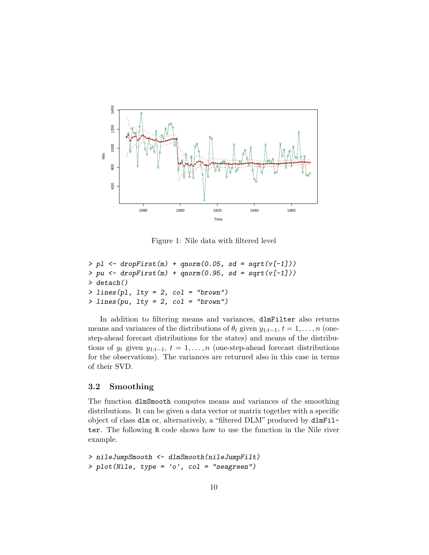

Figure 1: Nile data with filtered level

```
> pl \le dropFirst(m) + qnorm(0.05, sd = sqrt(v[-1]))
> pu \leq dropFirst(m) + qnorm(0.95, sd = sqrt(v[-1]))> detach()
> lines(pl, lty = 2, col = "brown")
> lines(pu, lty = 2, col = "brown")
```
In addition to filtering means and variances, dlmFilter also returns means and variances of the distributions of  $\theta_t$  given  $y_{1:t-1}$ ,  $t = 1, \ldots, n$  (onestep-ahead forecast distributions for the states) and means of the distributions of  $y_t$  given  $y_{1:t-1}$ ,  $t = 1, \ldots, n$  (one-step-ahead forecast distributions for the observations). The variances are returned also in this case in terms of their SVD.

# 3.2 Smoothing

The function dlmSmooth computes means and variances of the smoothing distributions. It can be given a data vector or matrix together with a specific object of class dlm or, alternatively, a "filtered DLM" produced by dlmFilter. The following R code shows how to use the function in the Nile river example.

> nileJumpSmooth <- dlmSmooth(nileJumpFilt) > plot(Nile, type = 'o', col = "seagreen")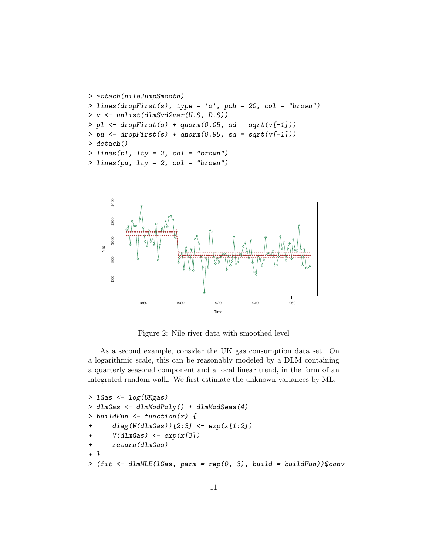```
> attach(nileJumpSmooth)
> lines(dropFirst(s), type = 'o', pch = 20, col = "brown")
> v <- unlist(dlmSvd2var(U.S, D.S))
> pl \le dropFirst(s) + qnorm(0.05, sd = sqrt(v[-1]))
> pu \leftarrow dropFirst(s) + qnorm(0.95, sd = sqrt(v[-1]))> detach()
> lines(pl, lty = 2, col = "brown")
> lines(pu, lty = 2, col = "brown")
```


Figure 2: Nile river data with smoothed level

As a second example, consider the UK gas consumption data set. On a logarithmic scale, this can be reasonably modeled by a DLM containing a quarterly seasonal component and a local linear trend, in the form of an integrated random walk. We first estimate the unknown variances by ML.

```
> lGas <- log(UKgas)
> dlmGas <- dlmModPoly() + dlmModSeas(4)
> buildFun <- function(x) {
+ diag(W(dlmGas))[2:3] <- exp(x[1:2])
+ V(d\text{ImGas}) \leq -\exp(x[3])+ return(dlmGas)
+ }
> (fit \le dlmMLE(1Gas, parm = rep(0, 3), build = buildFun))$conv
```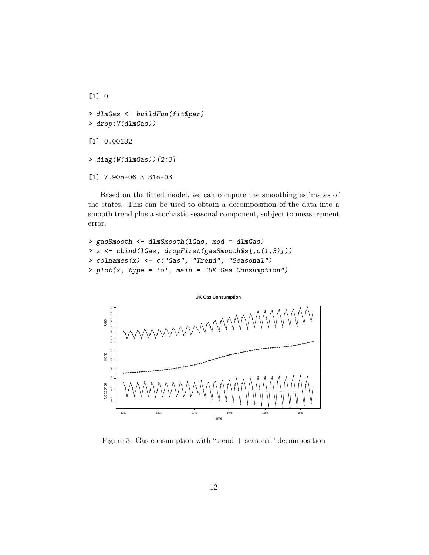```
[1] 0
> dlmGas <- buildFun(fit$par)
> drop(V(dlmGas))
[1] 0.00182
> diag(W(dlmGas))[2:3]
[1] 7.90e-06 3.31e-03
```
Based on the fitted model, we can compute the smoothing estimates of the states. This can be used to obtain a decomposition of the data into a smooth trend plus a stochastic seasonal component, subject to measurement error.

```
> gasSmooth <- dlmSmooth(lGas, mod = dlmGas)
> x <- cbind(lGas, dropFirst(gasSmooth$s[,c(1,3)]))
> colnames(x) <- c("Gas", "Trend", "Seasonal")
> plot(x, type = 'o', main = "UK Gas Consumption")
```


Figure 3: Gas consumption with "trend + seasonal" decomposition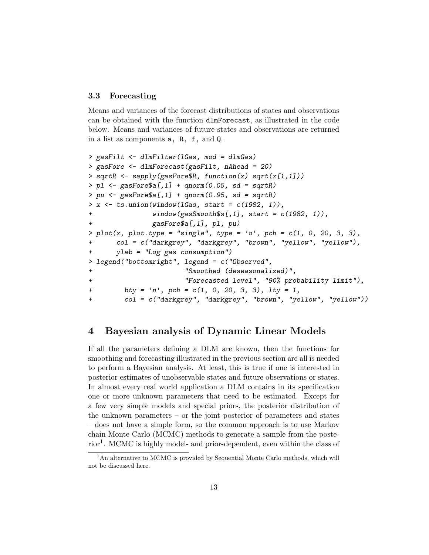# 3.3 Forecasting

Means and variances of the forecast distributions of states and observations can be obtained with the function dlmForecast, as illustrated in the code below. Means and variances of future states and observations are returned in a list as components a, R, f, and Q.

```
> gasFilt <- dlmFilter(lGas, mod = dlmGas)
> gasFore <- dlmForecast(gasFilt, nAhead = 20)
> sqrtR \leq sapply(gasFore$R, function(x) sqrt(x[1,1]))
> pl \leq gasFore$a[,1] + qnorm(0.05, sd = sqrtR)
> pu \leq-gasFore\a[,1] + qnorm(0.95, sd = sqrtR)> x \leq ts.union(window(lGas, start = c(1982, 1)),
+ window(gasSmooth$s[,1], start = c(1982, 1)),
              gasFree$a[,1], pl, pu)> plot(x, plot-type = "single", type = 'o', pch = c(1, 0, 20, 3, 3),+ col = c("darkgrey", "darkgrey", "brown", "yellow", "yellow"),
+ ylab = "Log gas consumption")
> legend("bottomright", legend = c("Observed",
+ "Smoothed (deseasonalized)",
+ "Forecasted level", "90% probability limit"),
+ bty = 'n', pch = c(1, 0, 20, 3, 3), lty = 1,
+ col = c("darkgrey", "darkgrey", "brown", "yellow", "yellow"))
```
# 4 Bayesian analysis of Dynamic Linear Models

If all the parameters defining a DLM are known, then the functions for smoothing and forecasting illustrated in the previous section are all is needed to perform a Bayesian analysis. At least, this is true if one is interested in posterior estimates of unobservable states and future observations or states. In almost every real world application a DLM contains in its specification one or more unknown parameters that need to be estimated. Except for a few very simple models and special priors, the posterior distribution of the unknown parameters – or the joint posterior of parameters and states – does not have a simple form, so the common approach is to use Markov chain Monte Carlo (MCMC) methods to generate a sample from the posterior<sup>1</sup>. MCMC is highly model- and prior-dependent, even within the class of

<sup>&</sup>lt;sup>1</sup>An alternative to MCMC is provided by Sequential Monte Carlo methods, which will not be discussed here.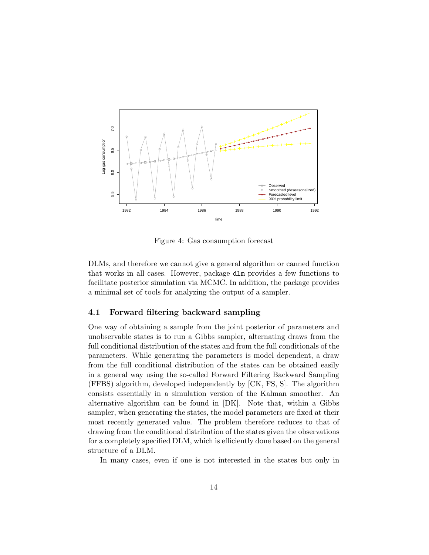

Figure 4: Gas consumption forecast

DLMs, and therefore we cannot give a general algorithm or canned function that works in all cases. However, package dlm provides a few functions to facilitate posterior simulation via MCMC. In addition, the package provides a minimal set of tools for analyzing the output of a sampler.

#### 4.1 Forward filtering backward sampling

One way of obtaining a sample from the joint posterior of parameters and unobservable states is to run a Gibbs sampler, alternating draws from the full conditional distribution of the states and from the full conditionals of the parameters. While generating the parameters is model dependent, a draw from the full conditional distribution of the states can be obtained easily in a general way using the so-called Forward Filtering Backward Sampling (FFBS) algorithm, developed independently by [CK, FS, S]. The algorithm consists essentially in a simulation version of the Kalman smoother. An alternative algorithm can be found in [DK]. Note that, within a Gibbs sampler, when generating the states, the model parameters are fixed at their most recently generated value. The problem therefore reduces to that of drawing from the conditional distribution of the states given the observations for a completely specified DLM, which is efficiently done based on the general structure of a DLM.

In many cases, even if one is not interested in the states but only in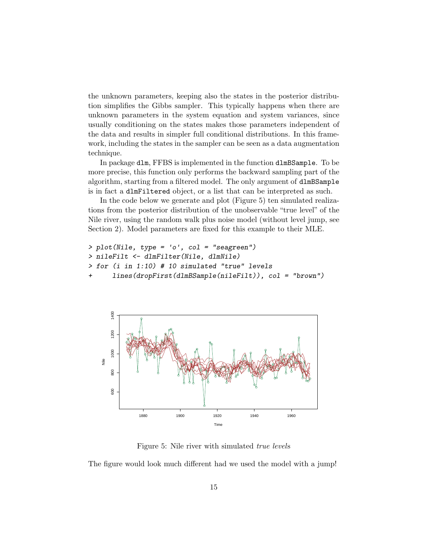the unknown parameters, keeping also the states in the posterior distribution simplifies the Gibbs sampler. This typically happens when there are unknown parameters in the system equation and system variances, since usually conditioning on the states makes those parameters independent of the data and results in simpler full conditional distributions. In this framework, including the states in the sampler can be seen as a data augmentation technique.

In package dlm, FFBS is implemented in the function dlmBSample. To be more precise, this function only performs the backward sampling part of the algorithm, starting from a filtered model. The only argument of dlmBSample is in fact a dlmFiltered object, or a list that can be interpreted as such.

In the code below we generate and plot (Figure 5) ten simulated realizations from the posterior distribution of the unobservable "true level" of the Nile river, using the random walk plus noise model (without level jump, see Section 2). Model parameters are fixed for this example to their MLE.

```
> plot(Nile, type = 'o', col = "seagreen")
> nileFilt <- dlmFilter(Nile, dlmNile)
> for (i in 1:10) # 10 simulated "true" levels
+ lines(dropFirst(dlmBSample(nileFilt)), col = "brown")
```


Figure 5: Nile river with simulated true levels

The figure would look much different had we used the model with a jump!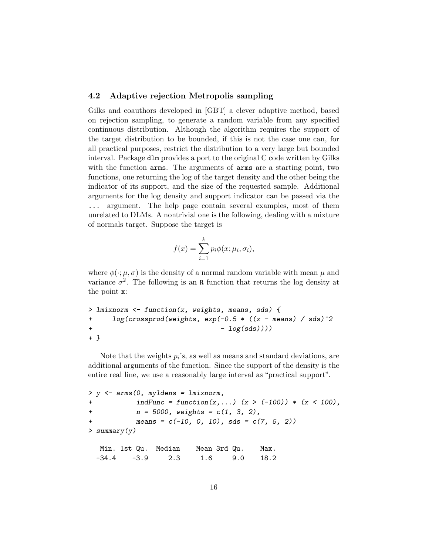# 4.2 Adaptive rejection Metropolis sampling

Gilks and coauthors developed in [GBT] a clever adaptive method, based on rejection sampling, to generate a random variable from any specified continuous distribution. Although the algorithm requires the support of the target distribution to be bounded, if this is not the case one can, for all practical purposes, restrict the distribution to a very large but bounded interval. Package dlm provides a port to the original C code written by Gilks with the function arms. The arguments of arms are a starting point, two functions, one returning the log of the target density and the other being the indicator of its support, and the size of the requested sample. Additional arguments for the log density and support indicator can be passed via the ... argument. The help page contain several examples, most of them unrelated to DLMs. A nontrivial one is the following, dealing with a mixture of normals target. Suppose the target is

$$
f(x) = \sum_{i=1}^{k} p_i \phi(x; \mu_i, \sigma_i),
$$

where  $\phi(\cdot;\mu,\sigma)$  is the density of a normal random variable with mean  $\mu$  and variance  $\sigma^2$ . The following is an R function that returns the log density at the point x:

```
> lmixnorm <- function(x, weights, means, sds) {
+ log(crossprod(weights, exp(-0.5 * ((x - means) / sds)^2
+ -\log(sds))+ }
```
Note that the weights  $p_i$ 's, as well as means and standard deviations, are additional arguments of the function. Since the support of the density is the entire real line, we use a reasonably large interval as "practical support".

```
> y <- arms(0, myldens = lmixnorm,
+ indFunc = function(x,...) (x > (-100)) * (x < 100),
+ n = 5000, weights = c(1, 3, 2),
+ means = c(-10, 0, 10), sds = c(7, 5, 2)> summary(y)
  Min. 1st Qu. Median Mean 3rd Qu. Max.
 -34.4 -3.9 2.3 1.6 9.0 18.2
```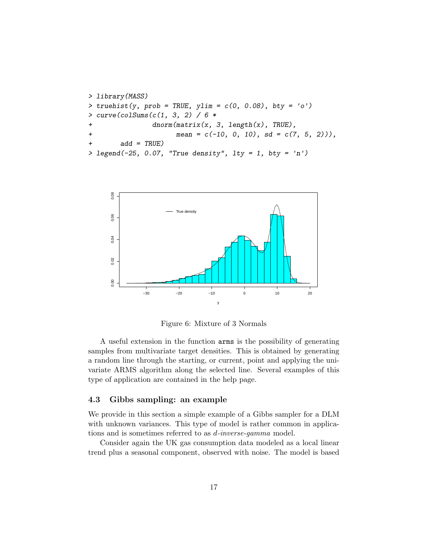```
> library(MASS)
> truehist(y, prob = TRUE, ylim = c(0, 0.08), bty = 'o')
> curve(colSums(c(1, 3, 2) / 6 *
+ dnorm(matrix(x, 3, length(x), TRUE),
+ mean = c(-10, 0, 10), sd = c(7, 5, 2)),
+ add = TRUE)
> legend(-25, 0.07, "True density", lty = 1, bty = 'n')
```


Figure 6: Mixture of 3 Normals

A useful extension in the function arms is the possibility of generating samples from multivariate target densities. This is obtained by generating a random line through the starting, or current, point and applying the univariate ARMS algorithm along the selected line. Several examples of this type of application are contained in the help page.

### 4.3 Gibbs sampling: an example

We provide in this section a simple example of a Gibbs sampler for a DLM with unknown variances. This type of model is rather common in applications and is sometimes referred to as d-inverse-gamma model.

Consider again the UK gas consumption data modeled as a local linear trend plus a seasonal component, observed with noise. The model is based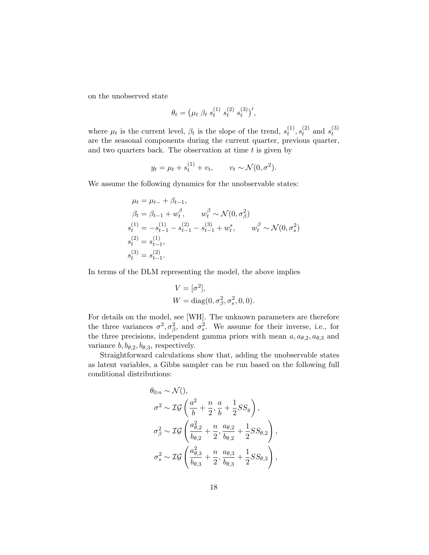on the unobserved state

$$
\theta_t = \left(\mu_t \; \beta_t \; s_t^{(1)} \; s_t^{(2)} \; s_t^{(3)}\right)',
$$

where  $\mu_t$  is the current level,  $\beta_t$  is the slope of the trend,  $s_t^{(1)}$  $\binom{1)}{t},s_t^{(2)}$  $t^{(2)}$  and  $s^{(3)}_t$ t are the seasonal components during the current quarter, previous quarter, and two quarters back. The observation at time  $t$  is given by

$$
y_t = \mu_t + s_t^{(1)} + v_t, \qquad v_t \sim \mathcal{N}(0, \sigma^2).
$$

We assume the following dynamics for the unobservable states:

$$
\mu_t = \mu_{t-} + \beta_{t-1},
$$
  
\n
$$
\beta_t = \beta_{t-1} + w_t^{\beta}, \qquad w_t^{\beta} \sim \mathcal{N}(0, \sigma_{\beta}^2)
$$
  
\n
$$
s_t^{(1)} = -s_{t-1}^{(1)} - s_{t-1}^{(2)} - s_{t-1}^{(3)} + w_t^{\beta}, \qquad w_t^{\beta} \sim \mathcal{N}(0, \sigma_s^2)
$$
  
\n
$$
s_t^{(2)} = s_{t-1}^{(1)},
$$
  
\n
$$
s_t^{(3)} = s_{t-1}^{(2)}.
$$

In terms of the DLM representing the model, the above implies

$$
V = [\sigma^2],
$$
  
 
$$
W = \text{diag}(0, \sigma_\beta^2, \sigma_s^2, 0, 0).
$$

For details on the model, see [WH]. The unknown parameters are therefore the three variances  $\sigma^2, \sigma_\beta^2$ , and  $\sigma_s^2$ . We assume for their inverse, i.e., for the three precisions, independent gamma priors with mean  $a, a_{\theta,2}, a_{\theta,3}$  and variance  $b, b_{\theta,2}, b_{\theta,3}$ , respectively.

Straightforward calculations show that, adding the unobservable states as latent variables, a Gibbs sampler can be run based on the following full conditional distributions:

$$
\theta_{0:n} \sim \mathcal{N}( ),
$$
\n
$$
\sigma^2 \sim \mathcal{IG}\left(\frac{a^2}{b} + \frac{n}{2}, \frac{a}{b} + \frac{1}{2}SS_y\right),
$$
\n
$$
\sigma_\beta^2 \sim \mathcal{IG}\left(\frac{a_{\theta,2}^2}{b_{\theta,2}} + \frac{n}{2}, \frac{a_{\theta,2}}{b_{\theta,2}} + \frac{1}{2}SS_{\theta,2}\right),
$$
\n
$$
\sigma_s^2 \sim \mathcal{IG}\left(\frac{a_{\theta,3}^2}{b_{\theta,3}} + \frac{n}{2}, \frac{a_{\theta,3}}{b_{\theta,3}} + \frac{1}{2}SS_{\theta,3}\right),
$$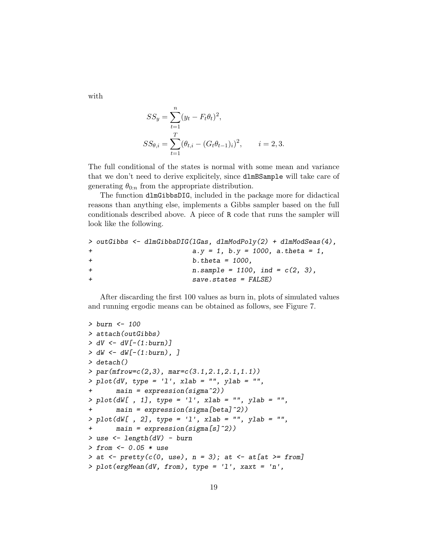with

$$
SS_y = \sum_{t=1}^{n} (y_t - F_t \theta_t)^2,
$$
  
\n
$$
SS_{\theta,i} = \sum_{t=1}^{T} (\theta_{t,i} - (G_t \theta_{t-1})_i)^2, \qquad i = 2, 3.
$$

The full conditional of the states is normal with some mean and variance that we don't need to derive explicitely, since dlmBSample will take care of generating  $\theta_{0:n}$  from the appropriate distribution.

The function dlmGibbsDIG, included in the package more for didactical reasons than anything else, implements a Gibbs sampler based on the full conditionals described above. A piece of R code that runs the sampler will look like the following.

```
> outGibbs <- dlmGibbsDIG(lGas, dlmModPoly(2) + dlmModSeas(4),
+ a.y = 1, b.y = 1000, a.theta = 1,
+ b.theta = 1000,
+ n.sample = 1100, ind = c(2, 3),
+ save.states = FALSE)
```
After discarding the first 100 values as burn in, plots of simulated values and running ergodic means can be obtained as follows, see Figure 7.

```
> burn <- 100
> attach(outGibbs)
> dV \leftarrow dV[-(1:burn)]> dW < - dW[-(1:burn),]> detach()
> par(mfrow=c(2,3), mar=c(3.1,2.1,2.1,1.1))
> plot(dV, type = 'l', xlab = '''', ylab = '''',+ main = expression(sigma^2))
> plot(dW[ , 1], type = '1', xlab = '''', ylab = '''',main = expression(sigma[beta]^{2})> plot(dW[ , 2], type = '1', xlab = '''', ylab = '''',+ main = expression(sigma[s]^2))
> use <- length(dV) - burn
> from <- 0.05 * use
> at <- \text{prety}(c(0, \text{ use}), n = 3); at <- \text{at}[at \geq f\text{ from}]> plot(ergMean(dV, from), type = 'l', xaxt = 'n',
```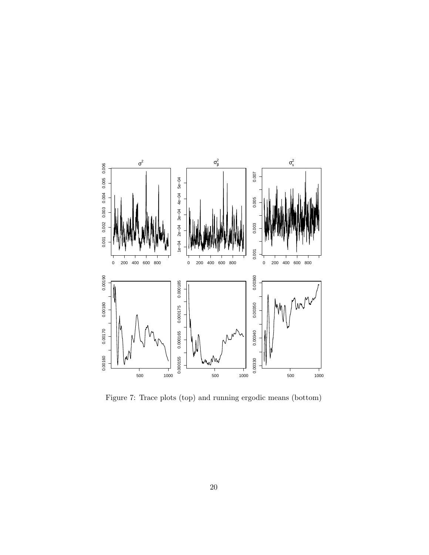

Figure 7: Trace plots (top) and running ergodic means (bottom)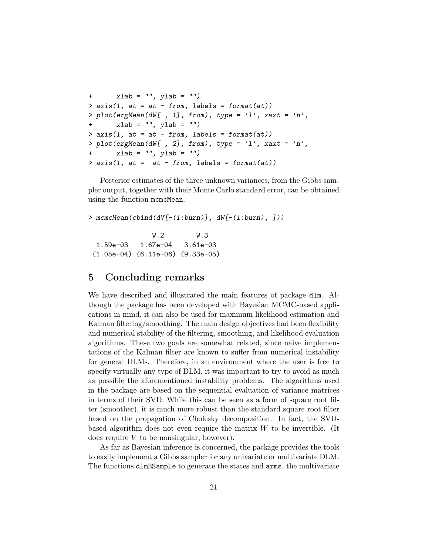```
+ xlab = "", ylab = "")
> axis(1, at = at - from, labels = format(at))> plot(ergMean(dW[ , 1], from), type = 'l', xaxt = 'n',
+ xlab = "", ylab = "")> axis(1, at = at - from, labels = format(at))> plot(ergMean(dW[, 2], from), type = 'l', xaxt = 'n',xlab = "", ylab = "")> axis(1, at = at - from, labels = format(at))
```
Posterior estimates of the three unknown variances, from the Gibbs sampler output, together with their Monte Carlo standard error, can be obtained using the function mcmcMean.

> mcmcMean(cbind(dV[-(1:burn)], dW[-(1:burn), ]))

W.2 W.3 1.59e-03 1.67e-04 3.61e-03 (1.05e-04) (6.11e-06) (9.33e-05)

# 5 Concluding remarks

We have described and illustrated the main features of package dlm. Although the package has been developed with Bayesian MCMC-based applications in mind, it can also be used for maximum likelihood estimation and Kalman filtering/smoothing. The main design objectives had been flexibility and numerical stability of the filtering, smoothing, and likelihood evaluation algorithms. These two goals are somewhat related, since naive implementations of the Kalman filter are known to suffer from numerical instability for general DLMs. Therefore, in an environment where the user is free to specify virtually any type of DLM, it was important to try to avoid as much as possible the aforementioned instability problems. The algorithms used in the package are based on the sequential evaluation of variance matrices in terms of their SVD. While this can be seen as a form of square root filter (smoother), it is much more robust than the standard square root filter based on the propagation of Cholesky decomposition. In fact, the SVDbased algorithm does not even require the matrix  $W$  to be invertible. (It does require  $V$  to be nonsingular, however).

As far as Bayesian inference is concerned, the package provides the tools to easily implement a Gibbs sampler for any univariate or multivariate DLM. The functions dlmBSample to generate the states and arms, the multivariate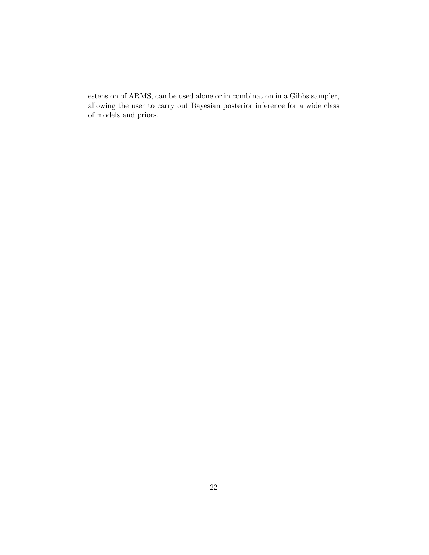estension of ARMS, can be used alone or in combination in a Gibbs sampler, allowing the user to carry out Bayesian posterior inference for a wide class of models and priors.